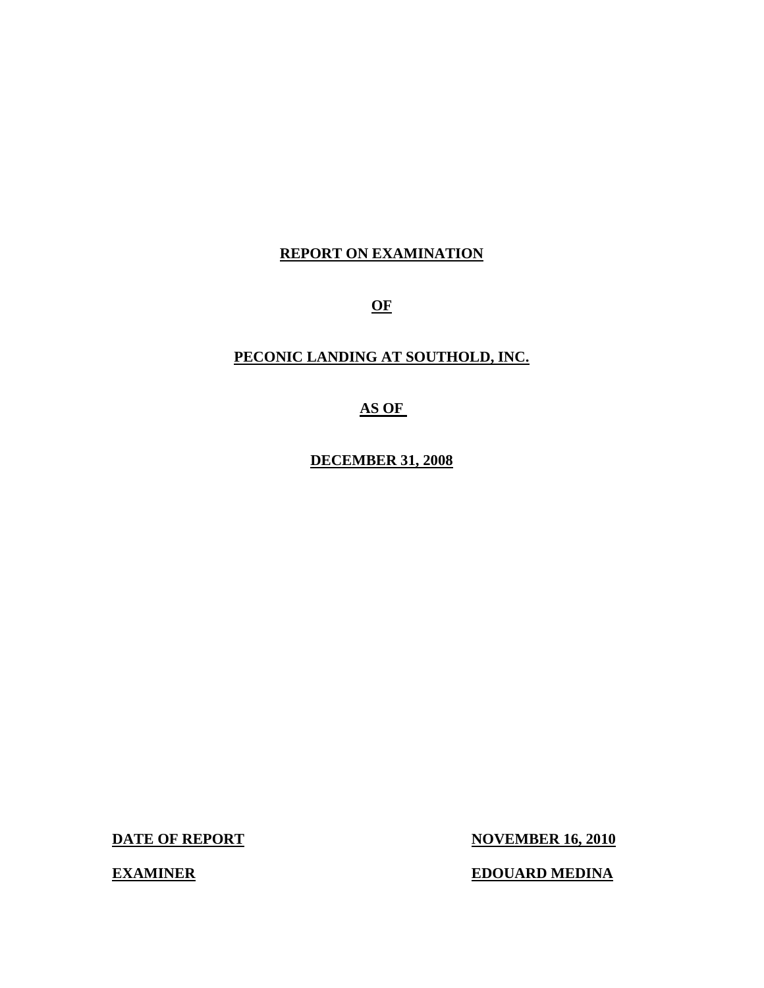#### **REPORT ON EXAMINATION**

**OF** 

#### **PECONIC LANDING AT SOUTHOLD, INC.**

#### **AS OF**

**DECEMBER 31, 2008** 

**DATE OF REPORT NOVEMBER 16, 2010** 

**EXAMINER EDOUARD MEDINA**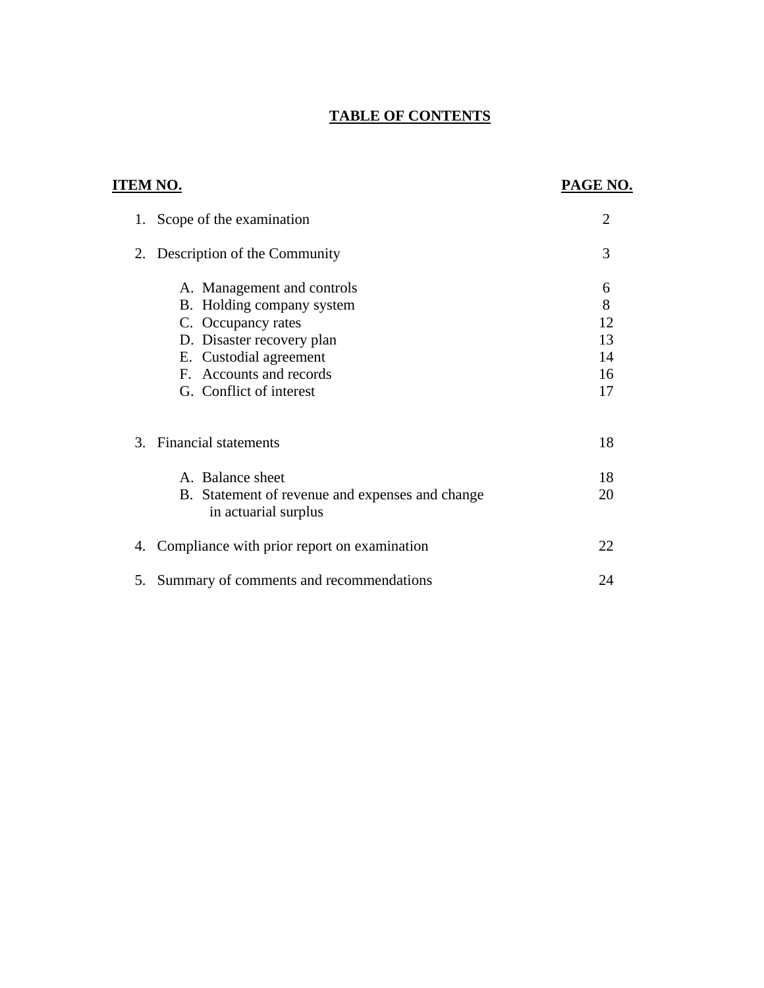### **TABLE OF CONTENTS**

| <b>TABLE OF CONTENTS</b>                                                                                                                                                                   |                                      |
|--------------------------------------------------------------------------------------------------------------------------------------------------------------------------------------------|--------------------------------------|
| <u>ITEM NO.</u>                                                                                                                                                                            | <b>PAGE NO.</b>                      |
| 1. Scope of the examination                                                                                                                                                                | $\overline{2}$                       |
| Description of the Community<br>2.                                                                                                                                                         | 3                                    |
| A. Management and controls<br>B. Holding company system<br>C. Occupancy rates<br>D. Disaster recovery plan<br>E. Custodial agreement<br>F. Accounts and records<br>G. Conflict of interest | 6<br>8<br>12<br>13<br>14<br>16<br>17 |
| 3. Financial statements                                                                                                                                                                    | 18                                   |
| A. Balance sheet<br>B. Statement of revenue and expenses and change<br>in actuarial surplus                                                                                                | 18<br>20                             |
| Compliance with prior report on examination<br>4.                                                                                                                                          | 22                                   |
| Summary of comments and recommendations<br>5.                                                                                                                                              | 24                                   |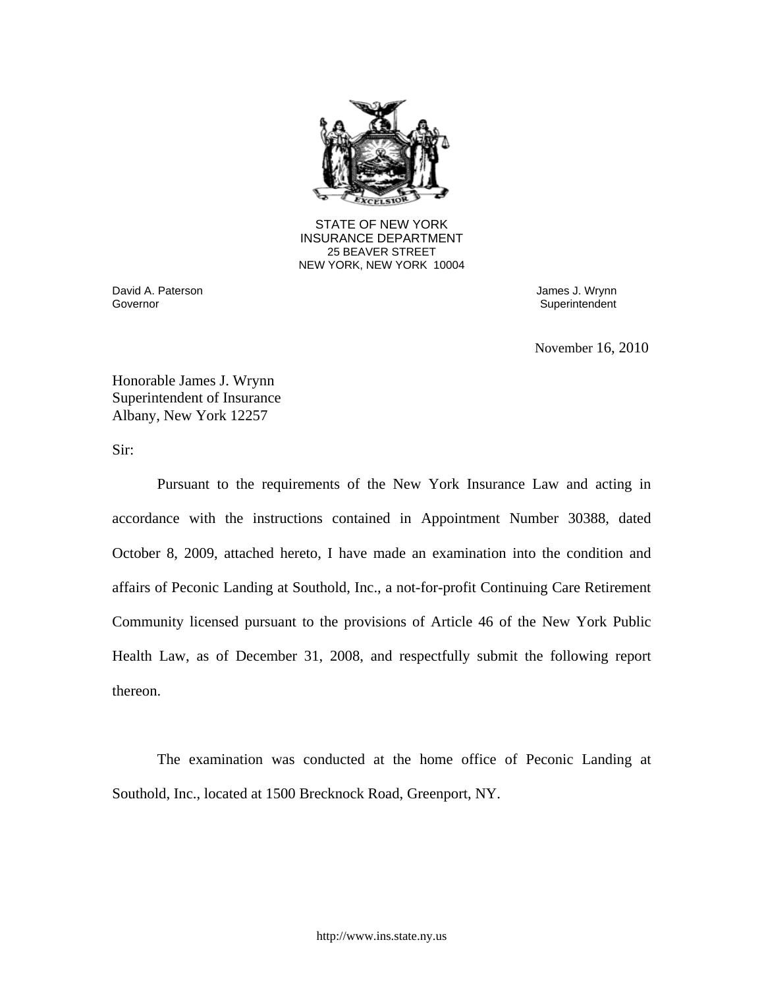

25 BEAVER STREET STATE OF NEW YORK INSURANCE DEPARTMENT NEW YORK, NEW YORK 10004

David A. Paterson James J. Wrynn

Superintendent

November 16, 2010

Honorable James J. Wrynn Superintendent of Insurance Albany, New York 12257

Sir:

Pursuant to the requirements of the New York Insurance Law and acting in accordance with the instructions contained in Appointment Number 30388, dated October 8, 2009, attached hereto, I have made an examination into the condition and affairs of Peconic Landing at Southold, Inc., a not-for-profit Continuing Care Retirement Community licensed pursuant to the provisions of Article 46 of the New York Public Health Law, as of December 31, 2008, and respectfully submit the following report thereon.

The examination was conducted at the home office of Peconic Landing at Southold, Inc., located at 1500 Brecknock Road, Greenport, NY.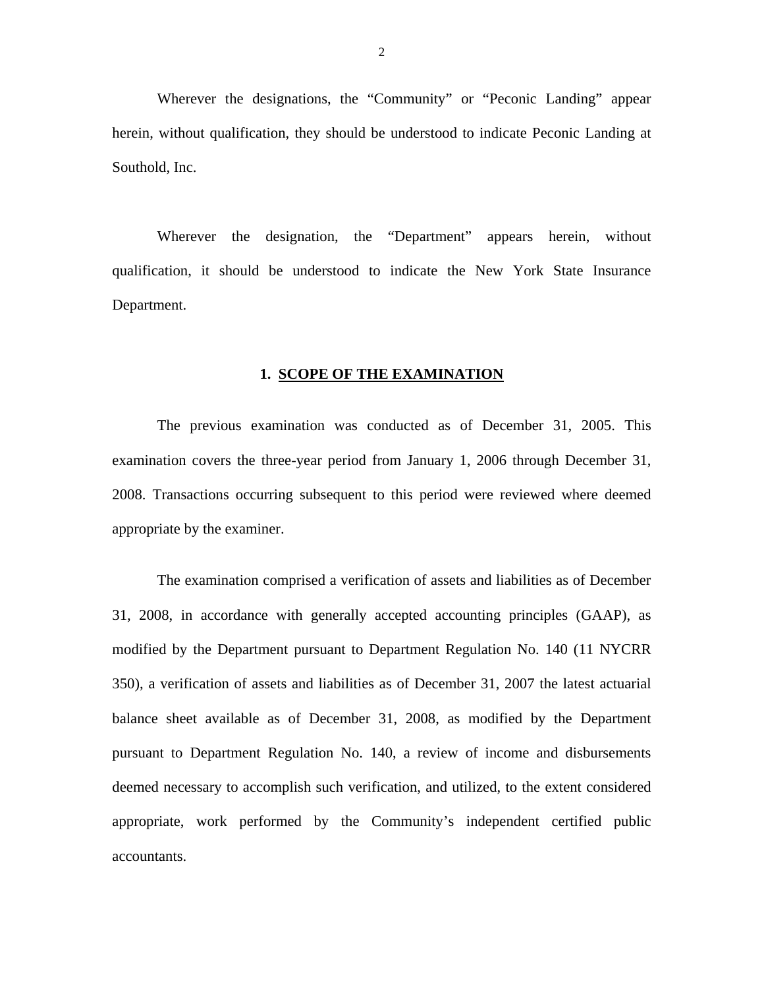<span id="page-3-0"></span>Wherever the designations, the "Community" or "Peconic Landing" appear herein, without qualification, they should be understood to indicate Peconic Landing at Southold, Inc.

Wherever the designation, the "Department" appears herein, without qualification, it should be understood to indicate the New York State Insurance Department.

#### **1. SCOPE OF THE EXAMINATION**

The previous examination was conducted as of December 31, 2005. This examination covers the three-year period from January 1, 2006 through December 31, 2008. Transactions occurring subsequent to this period were reviewed where deemed appropriate by the examiner.

The examination comprised a verification of assets and liabilities as of December 31, 2008, in accordance with generally accepted accounting principles (GAAP), as modified by the Department pursuant to Department Regulation No. 140 (11 NYCRR 350), a verification of assets and liabilities as of December 31, 2007 the latest actuarial balance sheet available as of December 31, 2008, as modified by the Department pursuant to Department Regulation No. 140, a review of income and disbursements deemed necessary to accomplish such verification, and utilized, to the extent considered appropriate, work performed by the Community's independent certified public accountants.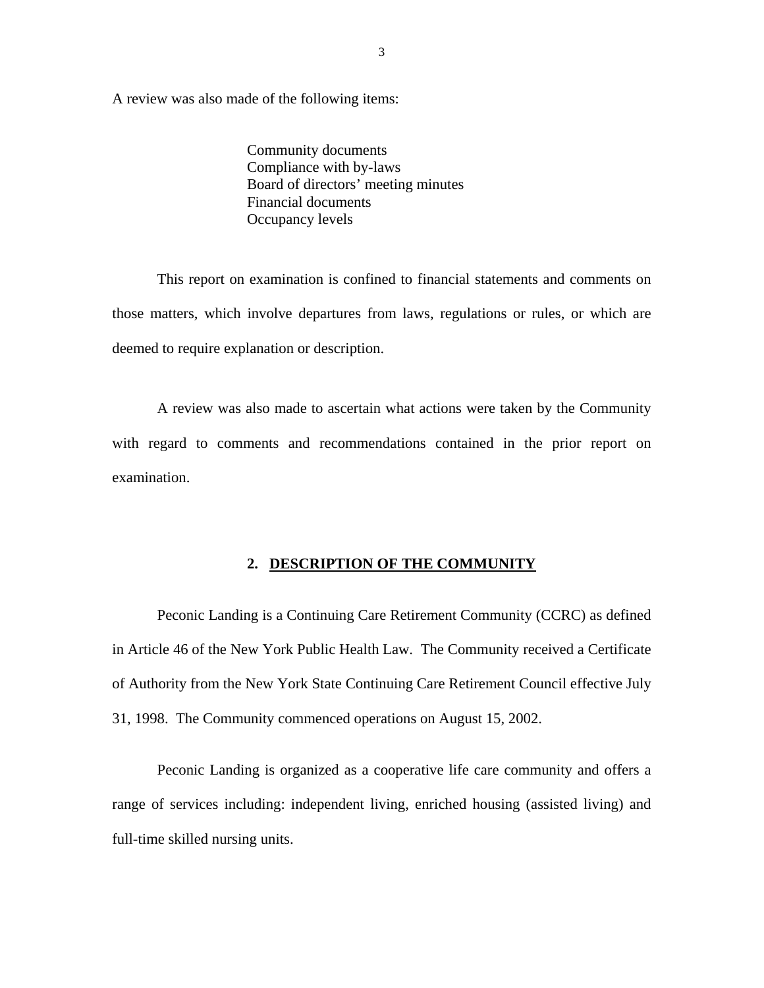<span id="page-4-0"></span>A review was also made of the following items:

 Community documents Compliance with by-laws Board of directors' meeting minutes Financial documents Occupancy levels

This report on examination is confined to financial statements and comments on those matters, which involve departures from laws, regulations or rules, or which are deemed to require explanation or description.

A review was also made to ascertain what actions were taken by the Community with regard to comments and recommendations contained in the prior report on examination.

#### **2. DESCRIPTION OF THE COMMUNITY**

Peconic Landing is a Continuing Care Retirement Community (CCRC) as defined in Article 46 of the New York Public Health Law. The Community received a Certificate of Authority from the New York State Continuing Care Retirement Council effective July 31, 1998. The Community commenced operations on August 15, 2002.

Peconic Landing is organized as a cooperative life care community and offers a range of services including: independent living, enriched housing (assisted living) and full-time skilled nursing units.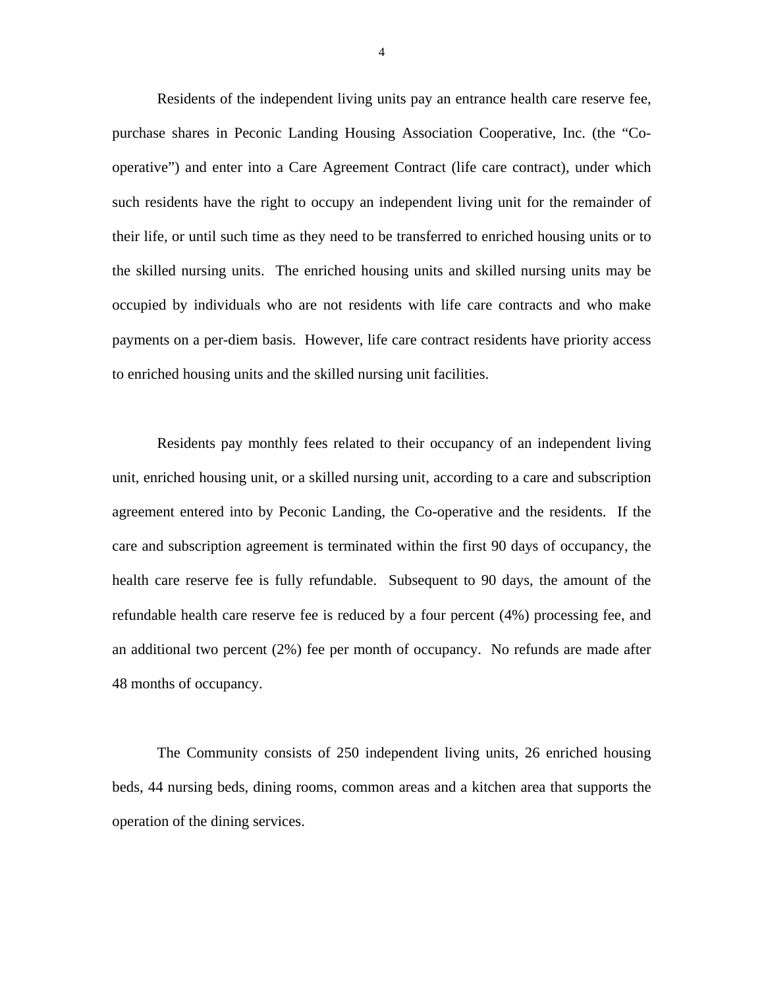Residents of the independent living units pay an entrance health care reserve fee, purchase shares in Peconic Landing Housing Association Cooperative, Inc. (the "Cooperative") and enter into a Care Agreement Contract (life care contract), under which such residents have the right to occupy an independent living unit for the remainder of their life, or until such time as they need to be transferred to enriched housing units or to the skilled nursing units. The enriched housing units and skilled nursing units may be occupied by individuals who are not residents with life care contracts and who make payments on a per-diem basis. However, life care contract residents have priority access to enriched housing units and the skilled nursing unit facilities.

Residents pay monthly fees related to their occupancy of an independent living unit, enriched housing unit, or a skilled nursing unit, according to a care and subscription agreement entered into by Peconic Landing, the Co-operative and the residents. If the care and subscription agreement is terminated within the first 90 days of occupancy, the health care reserve fee is fully refundable. Subsequent to 90 days, the amount of the refundable health care reserve fee is reduced by a four percent (4%) processing fee, and an additional two percent (2%) fee per month of occupancy. No refunds are made after 48 months of occupancy.

The Community consists of 250 independent living units, 26 enriched housing beds, 44 nursing beds, dining rooms, common areas and a kitchen area that supports the operation of the dining services.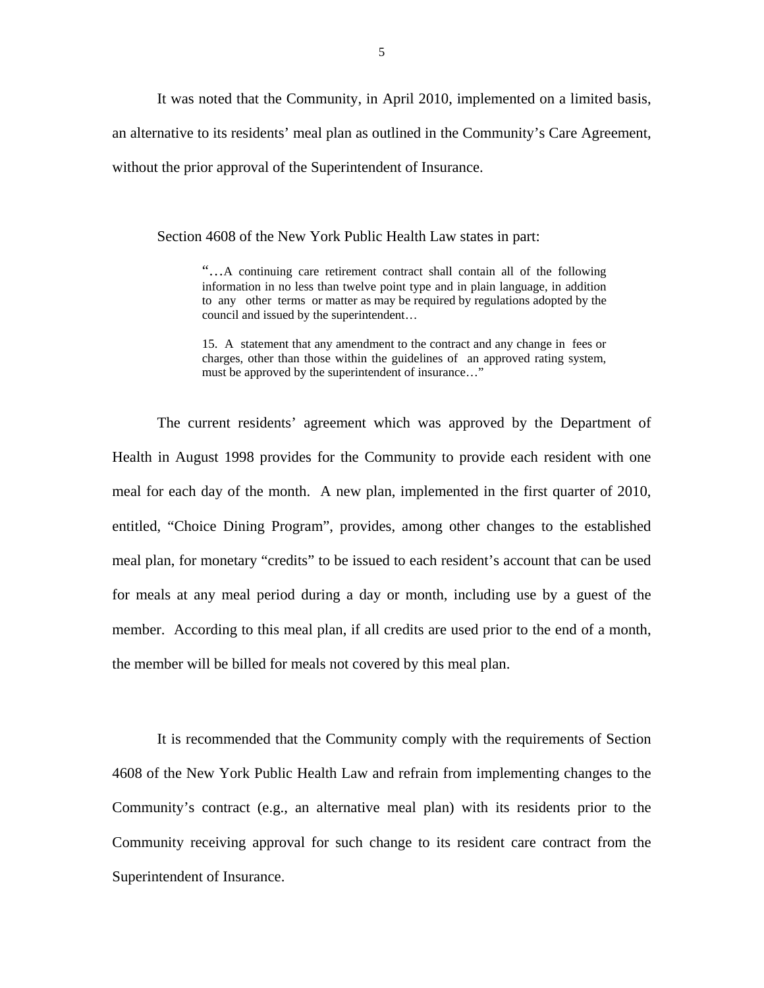It was noted that the Community, in April 2010, implemented on a limited basis, an alternative to its residents' meal plan as outlined in the Community's Care Agreement, without the prior approval of the Superintendent of Insurance.

Section 4608 of the New York Public Health Law states in part:

 to any other terms or matter as may be required by regulations adopted by the "…A continuing care retirement contract shall contain all of the following information in no less than twelve point type and in plain language, in addition council and issued by the superintendent…

15. A statement that any amendment to the contract and any change in fees or charges, other than those within the guidelines of an approved rating system, must be approved by the superintendent of insurance…"

The current residents' agreement which was approved by the Department of Health in August 1998 provides for the Community to provide each resident with one meal for each day of the month. A new plan, implemented in the first quarter of 2010, entitled, "Choice Dining Program", provides, among other changes to the established meal plan, for monetary "credits" to be issued to each resident's account that can be used for meals at any meal period during a day or month, including use by a guest of the member. According to this meal plan, if all credits are used prior to the end of a month, the member will be billed for meals not covered by this meal plan.

It is recommended that the Community comply with the requirements of Section 4608 of the New York Public Health Law and refrain from implementing changes to the Community's contract (e.g., an alternative meal plan) with its residents prior to the Community receiving approval for such change to its resident care contract from the Superintendent of Insurance.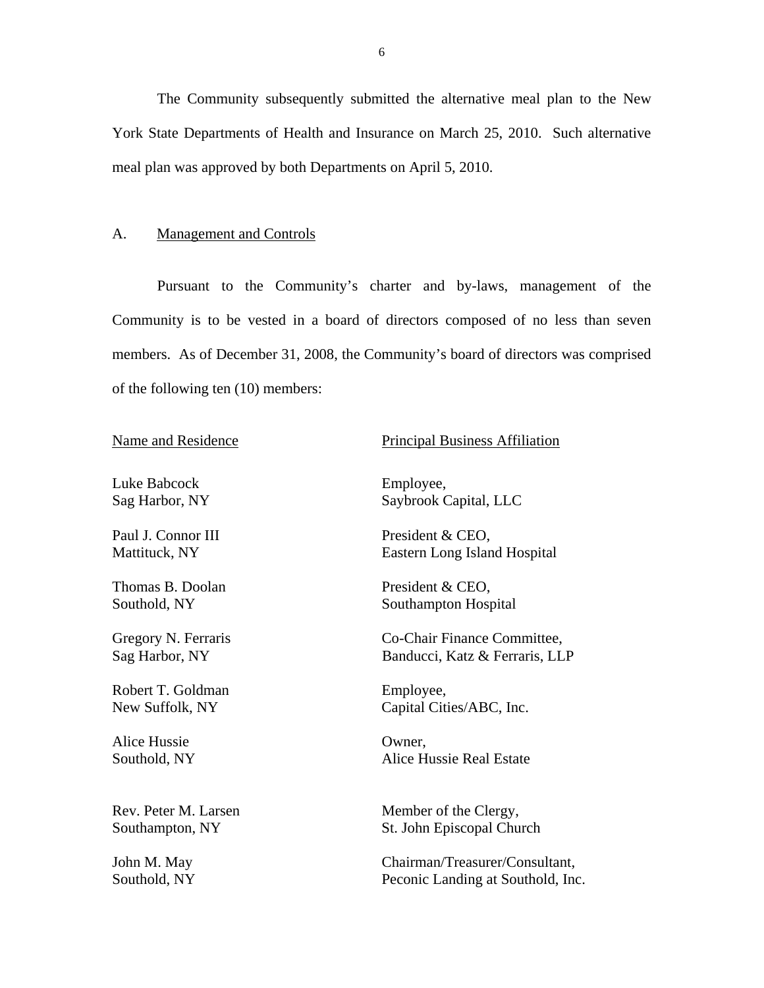The Community subsequently submitted the alternative meal plan to the New York State Departments of Health and Insurance on March 25, 2010. Such alternative meal plan was approved by both Departments on April 5, 2010.

#### A. Management and Controls

Pursuant to the Community's charter and by-laws, management of the Community is to be vested in a board of directors composed of no less than seven members. As of December 31, 2008, the Community's board of directors was comprised of the following ten (10) members:

Sag Harbor, NY Luke Babcock Employee,

Paul J. Connor III Mattituck, NY

Thomas B. Doolan Southold, NY

Gregory N. Ferraris<br>Sag Harbor, NY

Robert T. Goldman New Suffolk, NY

Alice Hussie Southold, NY

# Name and Residence Principal Business Affiliation<br>
Luke Babcock Business Affiliation<br>
Luke Babcock Business Affiliation

Saybrook Capital, LLC

President & CEO, Eastern Long Island Hospital

 President & CEO, Southampton Hospital

Co-Chair Finance Committee, Banducci, Katz & Ferraris, LLP

 Employee, Capital Cities/ABC, Inc.

Owner, Alice Hussie Real Estate

Rev. Peter M. Larsen Member of the Clergy, Southampton, NY St. John Episcopal Church

John M. May Chairman/Treasurer/Consultant, Southold, NY Peconic Landing at Southold, Inc.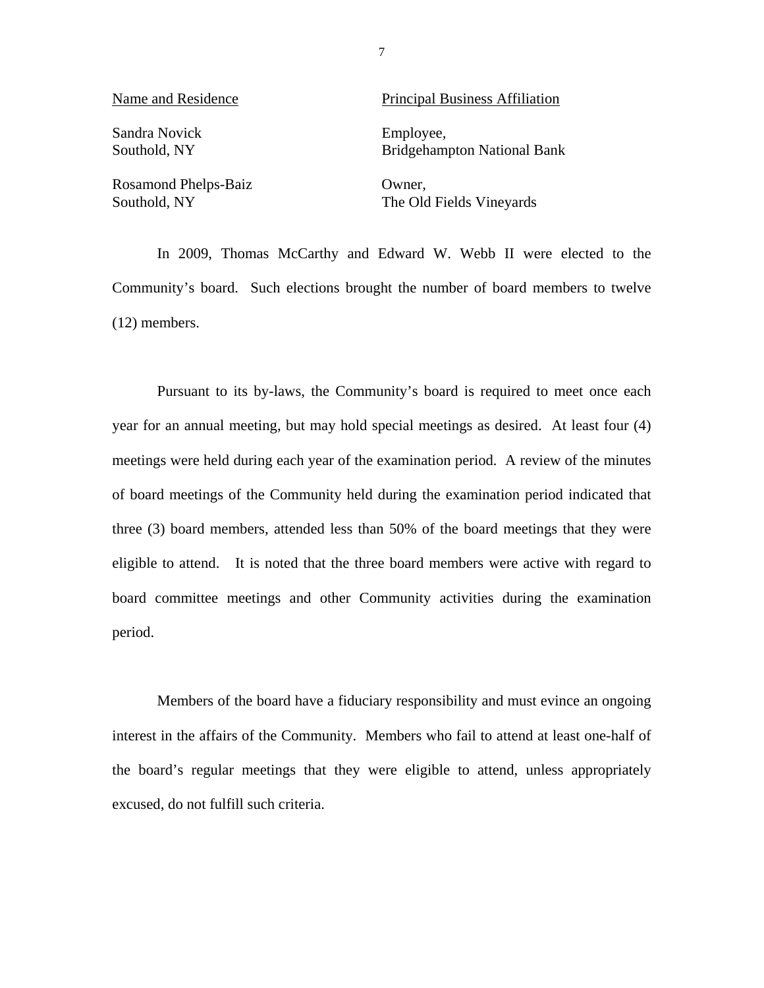| Name and Residence   | <b>Principal Business Affiliation</b> |  |  |
|----------------------|---------------------------------------|--|--|
| Sandra Novick        | Employee,                             |  |  |
| Southold, NY         | <b>Bridgehampton National Bank</b>    |  |  |
| Rosamond Phelps-Baiz | Owner,                                |  |  |
| Southold, NY         | The Old Fields Vineyards              |  |  |

In 2009, Thomas McCarthy and Edward W. Webb II were elected to the Community's board. Such elections brought the number of board members to twelve (12) members.

7

Pursuant to its by-laws, the Community's board is required to meet once each year for an annual meeting, but may hold special meetings as desired. At least four (4) meetings were held during each year of the examination period. A review of the minutes of board meetings of the Community held during the examination period indicated that three (3) board members, attended less than 50% of the board meetings that they were eligible to attend. It is noted that the three board members were active with regard to board committee meetings and other Community activities during the examination period.

Members of the board have a fiduciary responsibility and must evince an ongoing interest in the affairs of the Community. Members who fail to attend at least one-half of the board's regular meetings that they were eligible to attend, unless appropriately excused, do not fulfill such criteria.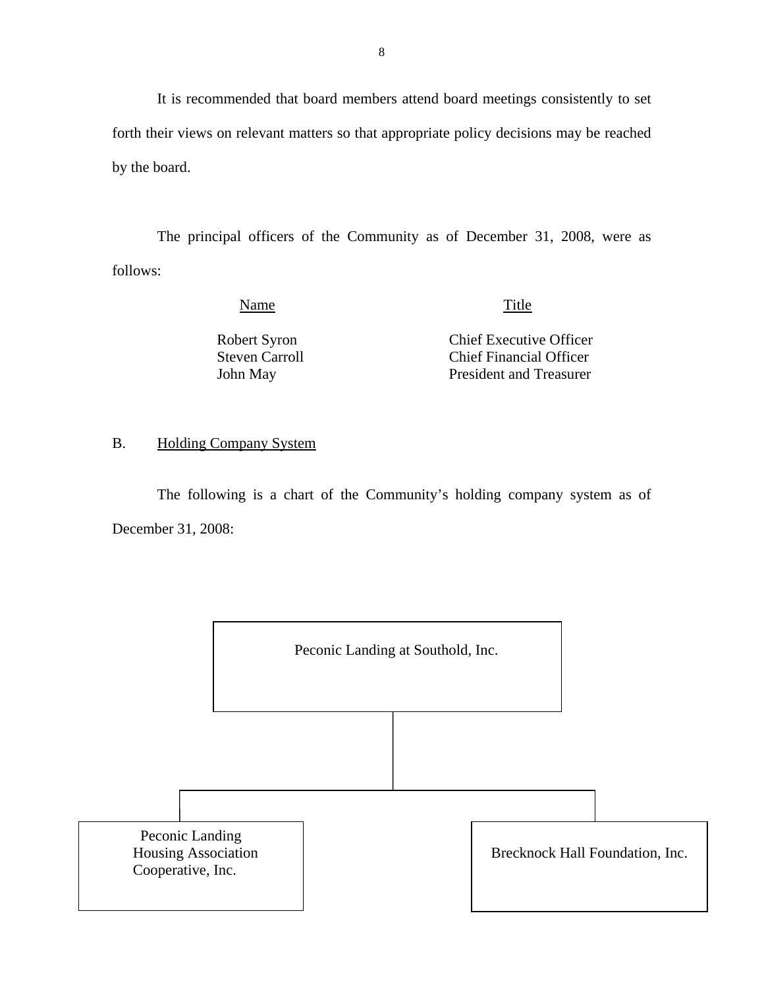<span id="page-9-0"></span>It is recommended that board members attend board meetings consistently to set forth their views on relevant matters so that appropriate policy decisions may be reached by the board.

The principal officers of the Community as of December 31, 2008, were as follows:

Name Title

 Robert Syron Chief Executive Officer Steven Carroll **Chief Financial Officer** John May President and Treasurer

#### B. Holding Company System

The following is a chart of the Community's holding company system as of December 31, 2008:

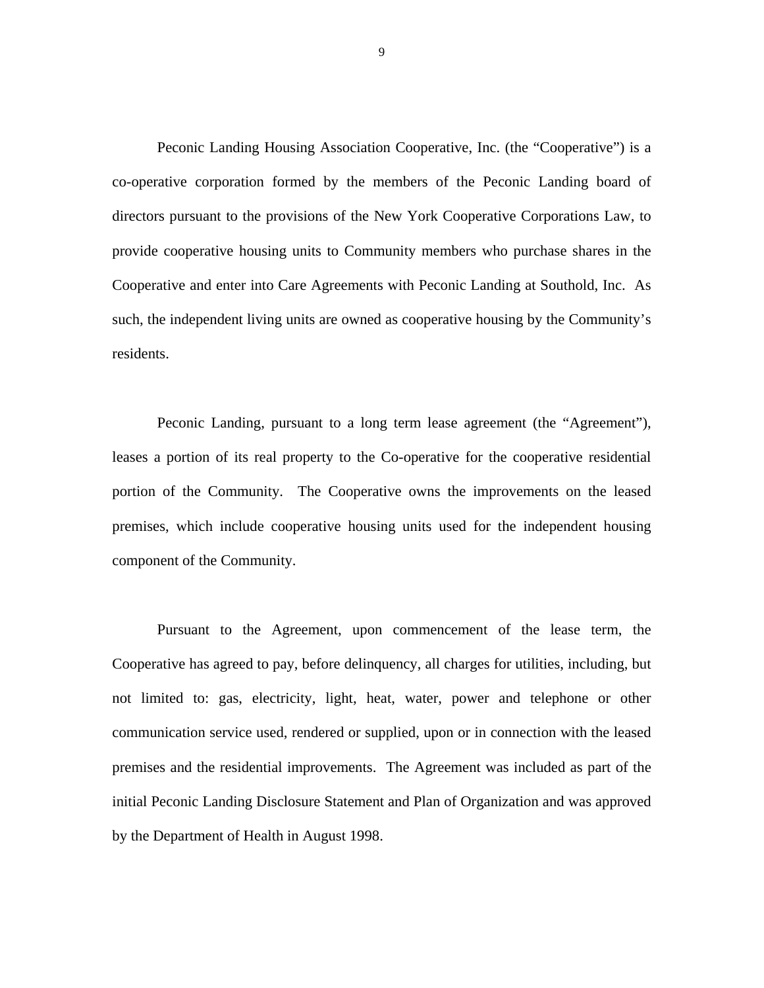Peconic Landing Housing Association Cooperative, Inc. (the "Cooperative") is a co-operative corporation formed by the members of the Peconic Landing board of directors pursuant to the provisions of the New York Cooperative Corporations Law, to provide cooperative housing units to Community members who purchase shares in the Cooperative and enter into Care Agreements with Peconic Landing at Southold, Inc. As such, the independent living units are owned as cooperative housing by the Community's residents.

Peconic Landing, pursuant to a long term lease agreement (the "Agreement"), leases a portion of its real property to the Co-operative for the cooperative residential portion of the Community. The Cooperative owns the improvements on the leased premises, which include cooperative housing units used for the independent housing component of the Community.

 by the Department of Health in August 1998. Pursuant to the Agreement, upon commencement of the lease term, the Cooperative has agreed to pay, before delinquency, all charges for utilities, including, but not limited to: gas, electricity, light, heat, water, power and telephone or other communication service used, rendered or supplied, upon or in connection with the leased premises and the residential improvements. The Agreement was included as part of the initial Peconic Landing Disclosure Statement and Plan of Organization and was approved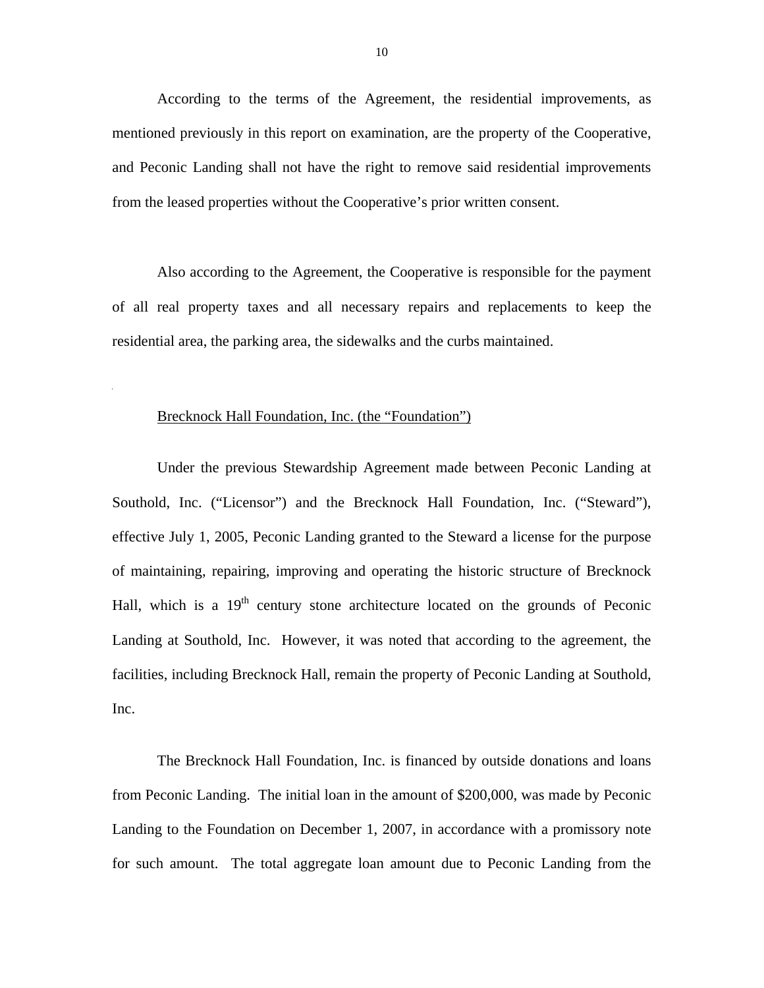According to the terms of the Agreement, the residential improvements, as mentioned previously in this report on examination, are the property of the Cooperative, and Peconic Landing shall not have the right to remove said residential improvements from the leased properties without the Cooperative's prior written consent.

Also according to the Agreement, the Cooperative is responsible for the payment of all real property taxes and all necessary repairs and replacements to keep the residential area, the parking area, the sidewalks and the curbs maintained.

#### Brecknock Hall Foundation, Inc. (the "Foundation")

l,

Under the previous Stewardship Agreement made between Peconic Landing at Southold, Inc. ("Licensor") and the Brecknock Hall Foundation, Inc. ("Steward"), effective July 1, 2005, Peconic Landing granted to the Steward a license for the purpose of maintaining, repairing, improving and operating the historic structure of Brecknock Hall, which is a  $19<sup>th</sup>$  century stone architecture located on the grounds of Peconic Landing at Southold, Inc. However, it was noted that according to the agreement, the facilities, including Brecknock Hall, remain the property of Peconic Landing at Southold, Inc.

The Brecknock Hall Foundation, Inc. is financed by outside donations and loans from Peconic Landing. The initial loan in the amount of \$200,000, was made by Peconic Landing to the Foundation on December 1, 2007, in accordance with a promissory note for such amount. The total aggregate loan amount due to Peconic Landing from the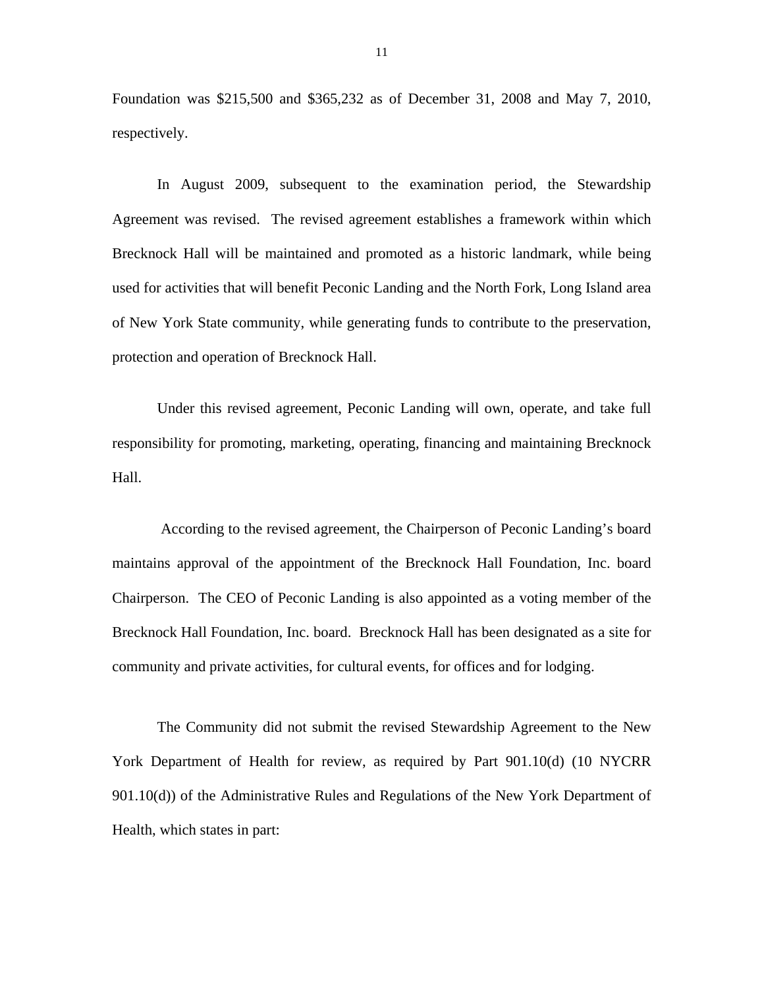Foundation was \$215,500 and \$365,232 as of December 31, 2008 and May 7, 2010, respectively.

In August 2009, subsequent to the examination period, the Stewardship Agreement was revised. The revised agreement establishes a framework within which Brecknock Hall will be maintained and promoted as a historic landmark, while being used for activities that will benefit Peconic Landing and the North Fork, Long Island area of New York State community, while generating funds to contribute to the preservation, protection and operation of Brecknock Hall.

Under this revised agreement, Peconic Landing will own, operate, and take full responsibility for promoting, marketing, operating, financing and maintaining Brecknock Hall.

According to the revised agreement, the Chairperson of Peconic Landing's board maintains approval of the appointment of the Brecknock Hall Foundation, Inc. board Chairperson. The CEO of Peconic Landing is also appointed as a voting member of the Brecknock Hall Foundation, Inc. board. Brecknock Hall has been designated as a site for community and private activities, for cultural events, for offices and for lodging.

The Community did not submit the revised Stewardship Agreement to the New York Department of Health for review, as required by Part 901.10(d) (10 NYCRR 901.10(d)) of the Administrative Rules and Regulations of the New York Department of Health, which states in part: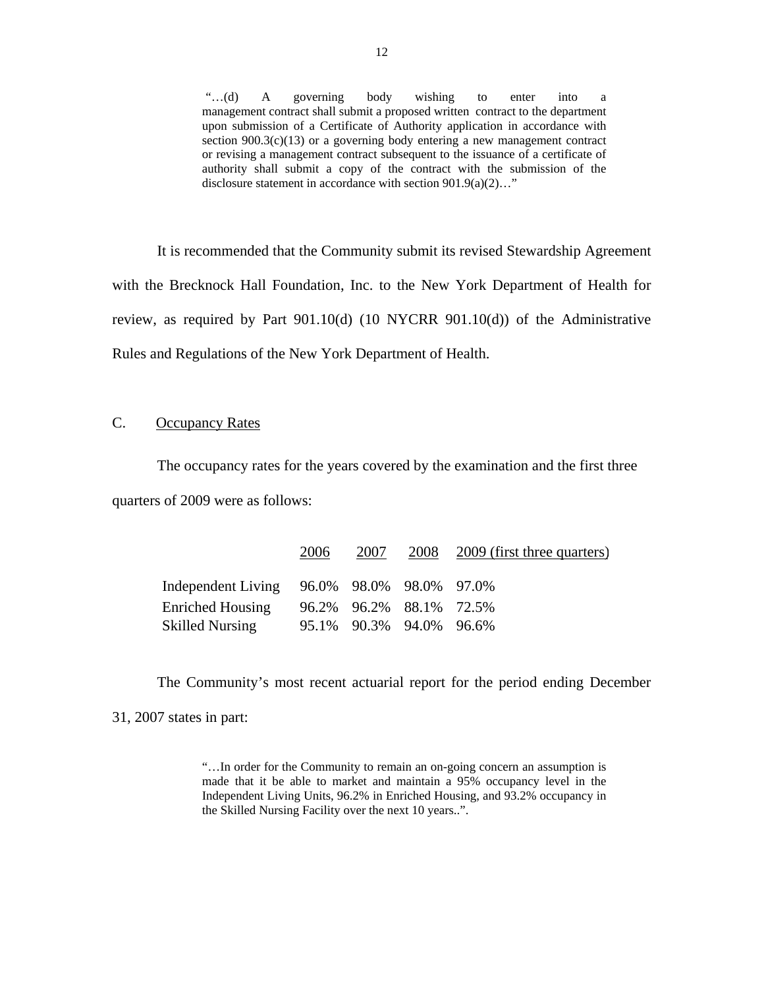a management contract shall submit a proposed written contract to the department section  $900.3(c)(13)$  or a governing body entering a new management contract "…(d) A governing body wishing to enter into a management contract shall submit a proposed written contract to the department upon submission of a Certificate of Authority application in accordance with or revising a management contract subsequent to the issuance of a certificate of authority shall submit a copy of the contract with the submission of the disclosure statement in accordance with section 901.9(a)(2)…"

It is recommended that the Community submit its revised Stewardship Agreement with the Brecknock Hall Foundation, Inc. to the New York Department of Health for review, as required by Part 901.10(d) (10 NYCRR 901.10(d)) of the Administrative Rules and Regulations of the New York Department of Health.

#### C. Occupancy Rates

The occupancy rates for the years covered by the examination and the first three quarters of 2009 were as follows:

|                                            | 2006 | 2007                    | 2008 2009 (first three quarters) |
|--------------------------------------------|------|-------------------------|----------------------------------|
| Independent Living 96.0% 98.0% 98.0% 97.0% |      |                         |                                  |
| <b>Enriched Housing</b>                    |      | 96.2% 96.2% 88.1% 72.5% |                                  |
| <b>Skilled Nursing</b>                     |      | 95.1% 90.3% 94.0% 96.6% |                                  |

The Community's most recent actuarial report for the period ending December

31, 2007 states in part:

"…In order for the Community to remain an on-going concern an assumption is made that it be able to market and maintain a 95% occupancy level in the Independent Living Units, 96.2% in Enriched Housing, and 93.2% occupancy in the Skilled Nursing Facility over the next 10 years..".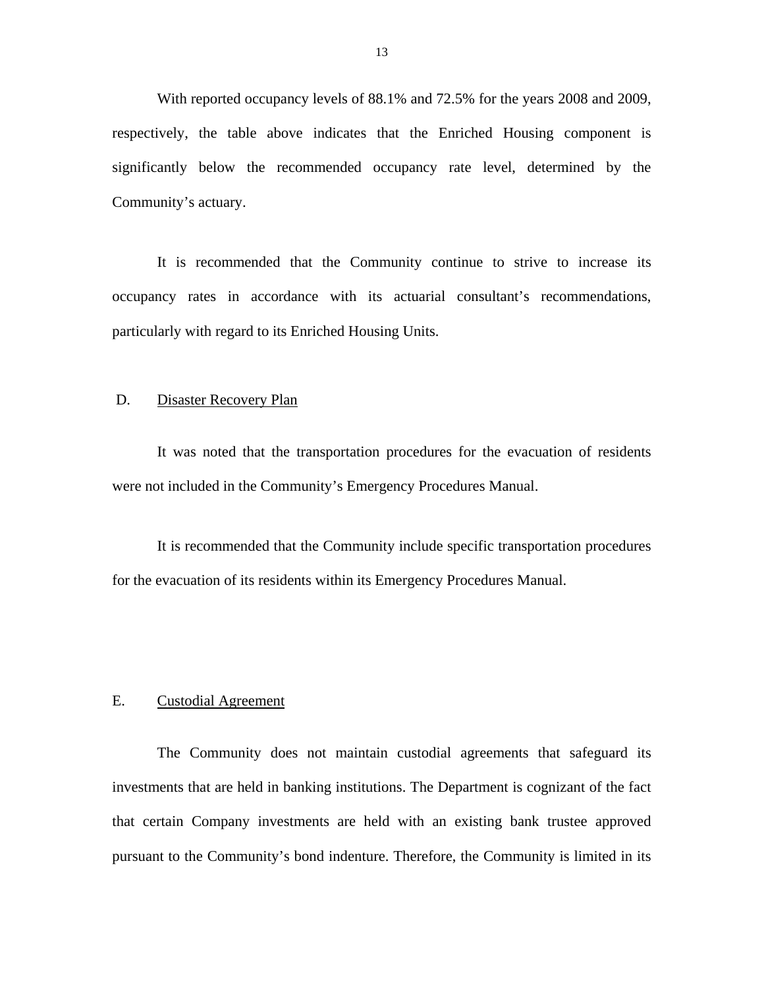<span id="page-14-0"></span>With reported occupancy levels of 88.1% and 72.5% for the years 2008 and 2009, respectively, the table above indicates that the Enriched Housing component is significantly below the recommended occupancy rate level, determined by the Community's actuary.

It is recommended that the Community continue to strive to increase its occupancy rates in accordance with its actuarial consultant's recommendations, particularly with regard to its Enriched Housing Units.

#### D. Disaster Recovery Plan

It was noted that the transportation procedures for the evacuation of residents were not included in the Community's Emergency Procedures Manual.

It is recommended that the Community include specific transportation procedures for the evacuation of its residents within its Emergency Procedures Manual.

#### E. Custodial Agreement

The Community does not maintain custodial agreements that safeguard its investments that are held in banking institutions. The Department is cognizant of the fact that certain Company investments are held with an existing bank trustee approved pursuant to the Community's bond indenture. Therefore, the Community is limited in its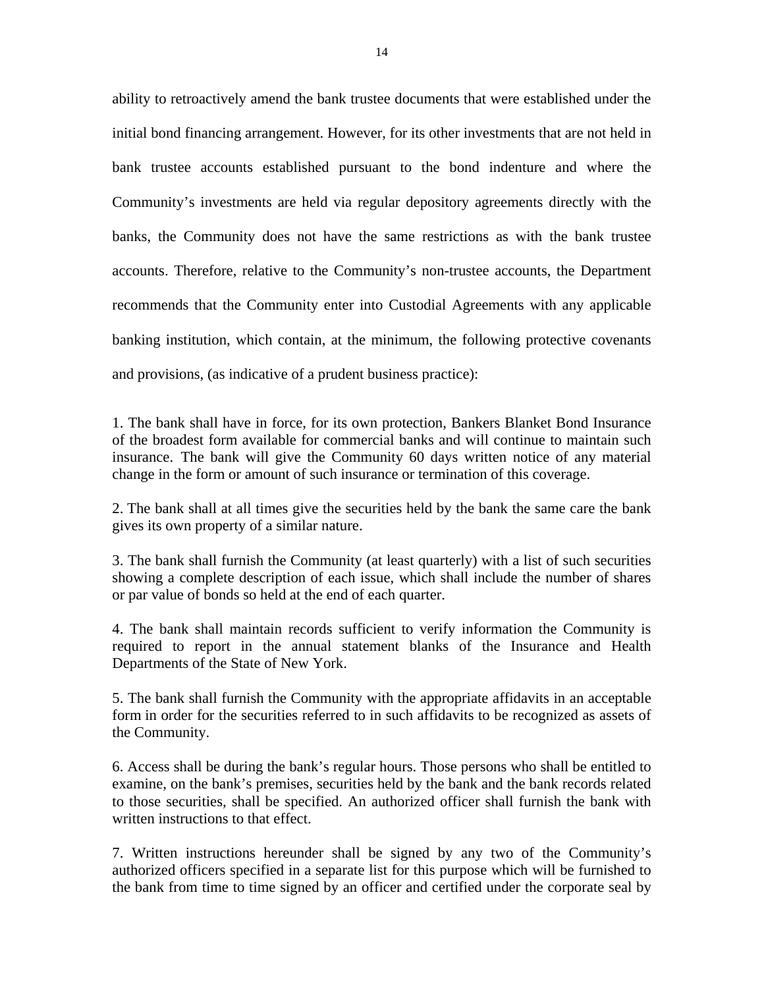<span id="page-15-0"></span>ability to retroactively amend the bank trustee documents that were established under the initial bond financing arrangement. However, for its other investments that are not held in bank trustee accounts established pursuant to the bond indenture and where the Community's investments are held via regular depository agreements directly with the banks, the Community does not have the same restrictions as with the bank trustee accounts. Therefore, relative to the Community's non-trustee accounts, the Department recommends that the Community enter into Custodial Agreements with any applicable banking institution, which contain, at the minimum, the following protective covenants and provisions, (as indicative of a prudent business practice):

1. The bank shall have in force, for its own protection, Bankers Blanket Bond Insurance of the broadest form available for commercial banks and will continue to maintain such insurance. The bank will give the Community 60 days written notice of any material change in the form or amount of such insurance or termination of this coverage.

2. The bank shall at all times give the securities held by the bank the same care the bank gives its own property of a similar nature.

3. The bank shall furnish the Community (at least quarterly) with a list of such securities showing a complete description of each issue, which shall include the number of shares or par value of bonds so held at the end of each quarter.

4. The bank shall maintain records sufficient to verify information the Community is required to report in the annual statement blanks of the Insurance and Health Departments of the State of New York.

5. The bank shall furnish the Community with the appropriate affidavits in an acceptable form in order for the securities referred to in such affidavits to be recognized as assets of the Community.

6. Access shall be during the bank's regular hours. Those persons who shall be entitled to examine, on the bank's premises, securities held by the bank and the bank records related to those securities, shall be specified. An authorized officer shall furnish the bank with written instructions to that effect.

7. Written instructions hereunder shall be signed by any two of the Community's authorized officers specified in a separate list for this purpose which will be furnished to the bank from time to time signed by an officer and certified under the corporate seal by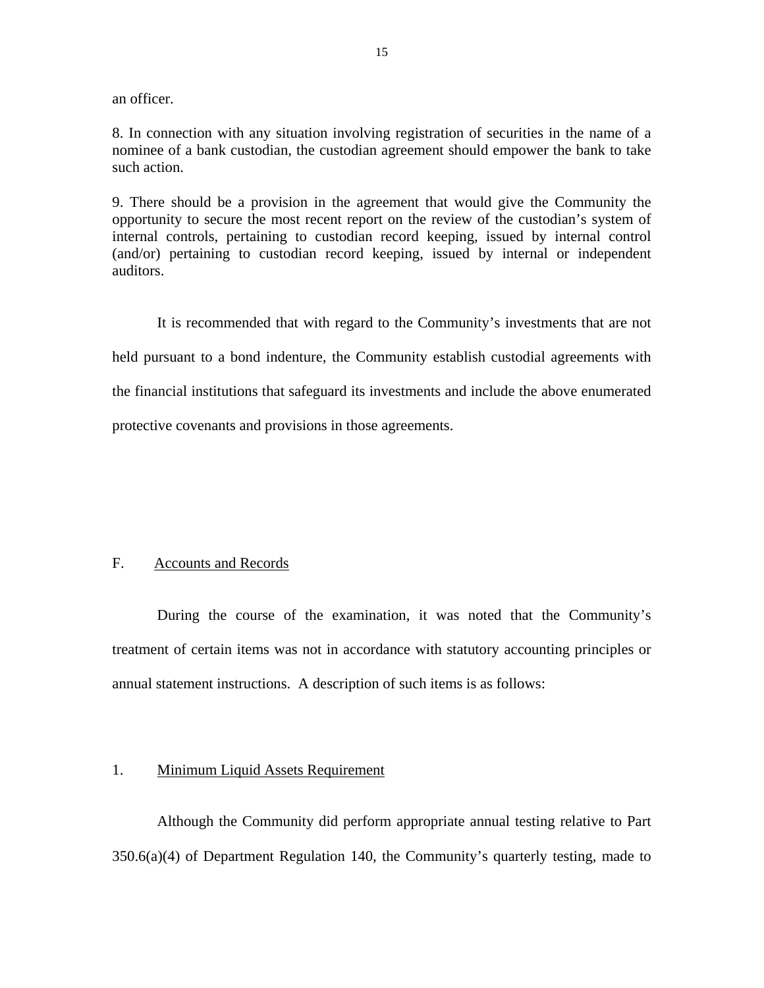an officer.

8. In connection with any situation involving registration of securities in the name of a nominee of a bank custodian, the custodian agreement should empower the bank to take such action.

9. There should be a provision in the agreement that would give the Community the opportunity to secure the most recent report on the review of the custodian's system of internal controls, pertaining to custodian record keeping, issued by internal control (and/or) pertaining to custodian record keeping, issued by internal or independent auditors.

It is recommended that with regard to the Community's investments that are not held pursuant to a bond indenture, the Community establish custodial agreements with the financial institutions that safeguard its investments and include the above enumerated protective covenants and provisions in those agreements.

#### F. Accounts and Records

During the course of the examination, it was noted that the Community's treatment of certain items was not in accordance with statutory accounting principles or annual statement instructions. A description of such items is as follows:

#### 1. Minimum Liquid Assets Requirement

Although the Community did perform appropriate annual testing relative to Part 350.6(a)(4) of Department Regulation 140, the Community's quarterly testing, made to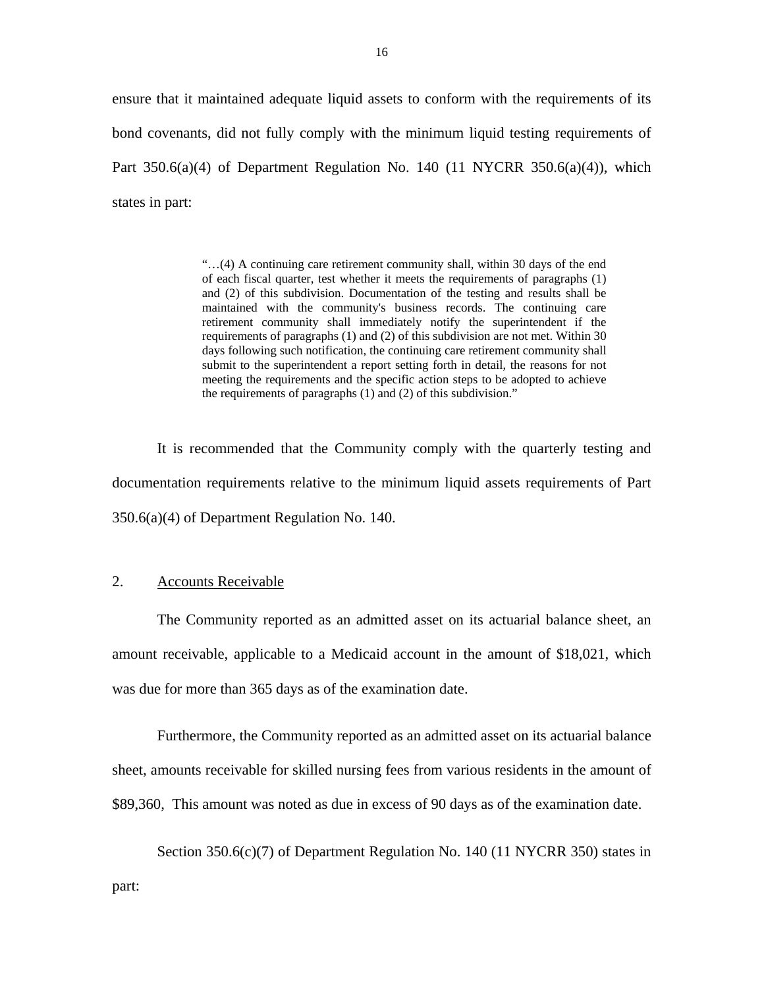<span id="page-17-0"></span>ensure that it maintained adequate liquid assets to conform with the requirements of its bond covenants, did not fully comply with the minimum liquid testing requirements of Part  $350.6(a)(4)$  of Department Regulation No. 140 (11 NYCRR  $350.6(a)(4)$ ), which states in part:

> requirements of paragraphs (1) and (2) of this subdivision are not met. Within 30 "…(4) A continuing care retirement community shall, within 30 days of the end of each fiscal quarter, test whether it meets the requirements of paragraphs (1) and (2) of this subdivision. Documentation of the testing and results shall be maintained with the community's business records. The continuing care retirement community shall immediately notify the superintendent if the days following such notification, the continuing care retirement community shall submit to the superintendent a report setting forth in detail, the reasons for not meeting the requirements and the specific action steps to be adopted to achieve the requirements of paragraphs (1) and (2) of this subdivision."

It is recommended that the Community comply with the quarterly testing and documentation requirements relative to the minimum liquid assets requirements of Part 350.6(a)(4) of Department Regulation No. 140.

#### **Accounts Receivable**

2. Accounts Receivable<br>The Community reported as an admitted asset on its actuarial balance sheet, an amount receivable, applicable to a Medicaid account in the amount of \$18,021, which was due for more than 365 days as of the examination date.

Furthermore, the Community reported as an admitted asset on its actuarial balance sheet, amounts receivable for skilled nursing fees from various residents in the amount of \$89,360, This amount was noted as due in excess of 90 days as of the examination date.

Section 350.6(c)(7) of Department Regulation No. 140 (11 NYCRR 350) states in part: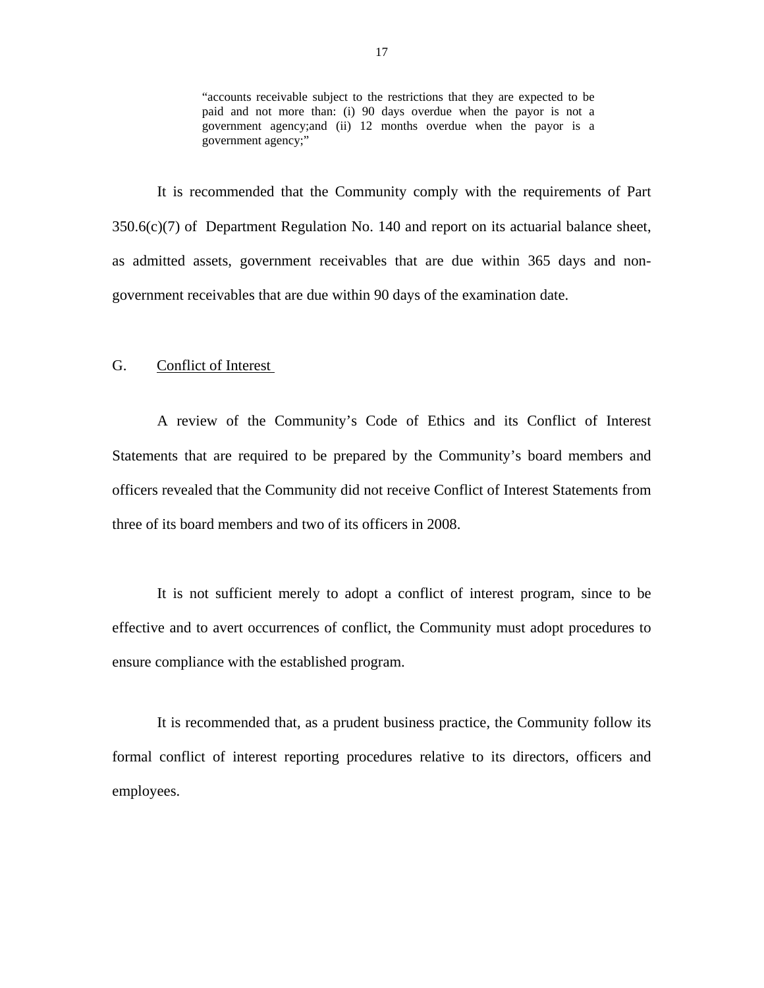"accounts receivable subject to the restrictions that they are expected to be paid and not more than: (i) 90 days overdue when the payor is not a government agency;and (ii) 12 months overdue when the payor is a government agency;"

<span id="page-18-0"></span> $350.6(c)(7)$  of Department Regulation No. 140 and report on its actuarial balance sheet, It is recommended that the Community comply with the requirements of Part as admitted assets, government receivables that are due within 365 days and nongovernment receivables that are due within 90 days of the examination date.

#### G. Conflict of Interest

A review of the Community's Code of Ethics and its Conflict of Interest Statements that are required to be prepared by the Community's board members and officers revealed that the Community did not receive Conflict of Interest Statements from three of its board members and two of its officers in 2008.

It is not sufficient merely to adopt a conflict of interest program, since to be effective and to avert occurrences of conflict, the Community must adopt procedures to ensure compliance with the established program.

It is recommended that, as a prudent business practice, the Community follow its formal conflict of interest reporting procedures relative to its directors, officers and employees.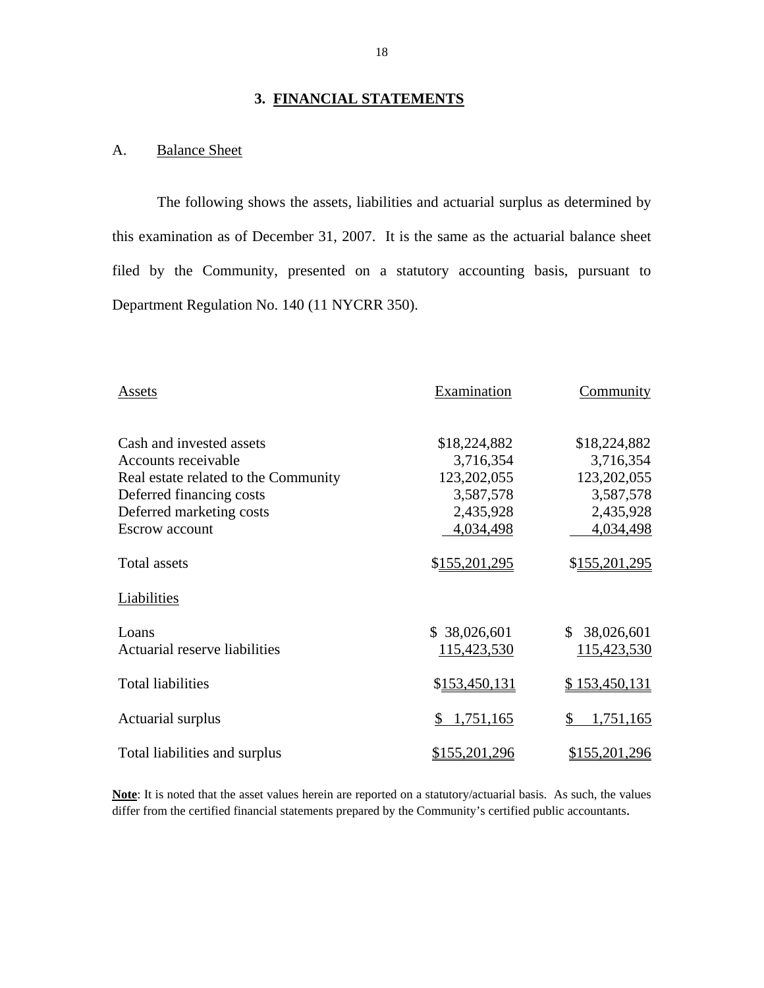#### **3. FINANCIAL STATEMENTS**

#### A. Balance Sheet

The following shows the assets, liabilities and actuarial surplus as determined by this examination as of December 31, 2007. It is the same as the actuarial balance sheet filed by the Community, presented on a statutory accounting basis, pursuant to Department Regulation No. 140 (11 NYCRR 350).

| Assets                                 | Examination                 | Community                   |  |
|----------------------------------------|-----------------------------|-----------------------------|--|
| Cash and invested assets               | \$18,224,882                | \$18,224,882                |  |
| Accounts receivable                    | 3,716,354                   | 3,716,354                   |  |
| Real estate related to the Community   | 123,202,055                 | 123,202,055                 |  |
| Deferred financing costs               | 3,587,578                   | 3,587,578                   |  |
| Deferred marketing costs               | 2,435,928                   | 2,435,928                   |  |
| <b>Escrow</b> account                  | 4,034,498                   | 4,034,498                   |  |
| <b>Total assets</b>                    | \$155,201,295               | \$155,201,295               |  |
| Liabilities                            |                             |                             |  |
| Loans<br>Actuarial reserve liabilities | \$38,026,601<br>115,423,530 | \$38,026,601<br>115,423,530 |  |
| <b>Total liabilities</b>               | \$153,450,131               | \$153,450,131               |  |
| Actuarial surplus                      | 1,751,165                   | 1,751,165<br>\$             |  |
| Total liabilities and surplus          | <u>\$155,201,296</u>        | \$155,201,296               |  |

**Note**: It is noted that the asset values herein are reported on a statutory/actuarial basis. As such, the values differ from the certified financial statements prepared by the Community's certified public accountants.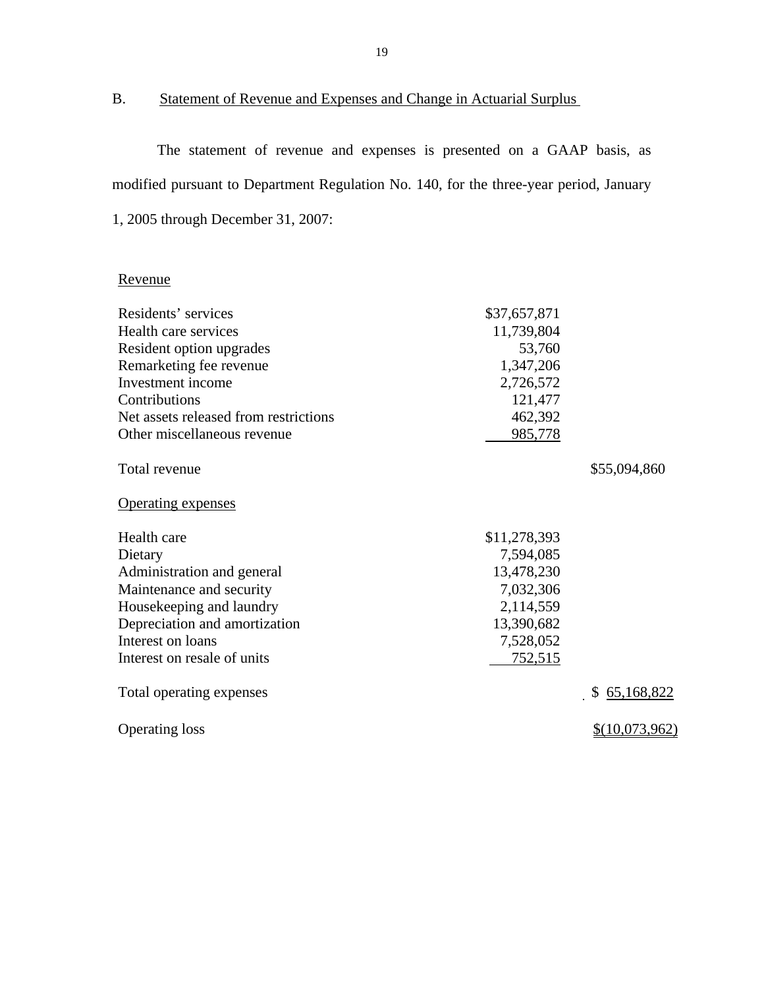#### B. Statement of Revenue and Expenses and Change in Actuarial Surplus

The statement of revenue and expenses is presented on a GAAP basis, as modified pursuant to Department Regulation No. 140, for the three-year period, January 1, 2005 through December 31, 2007:

#### Revenue

| Residents' services                   | \$37,657,871 |                |
|---------------------------------------|--------------|----------------|
| Health care services                  | 11,739,804   |                |
| Resident option upgrades              | 53,760       |                |
| Remarketing fee revenue               | 1,347,206    |                |
| Investment income                     | 2,726,572    |                |
| Contributions                         | 121,477      |                |
| Net assets released from restrictions | 462,392      |                |
| Other miscellaneous revenue           | 985,778      |                |
| Total revenue                         |              | \$55,094,860   |
| <b>Operating expenses</b>             |              |                |
| Health care                           | \$11,278,393 |                |
| Dietary                               | 7,594,085    |                |
| Administration and general            | 13,478,230   |                |
| Maintenance and security              | 7,032,306    |                |
| Housekeeping and laundry              | 2,114,559    |                |
| Depreciation and amortization         | 13,390,682   |                |
| Interest on loans                     | 7,528,052    |                |
| Interest on resale of units           | 752,515      |                |
| Total operating expenses              |              | \$65,168,822   |
| <b>Operating loss</b>                 |              | \$(10,073,962) |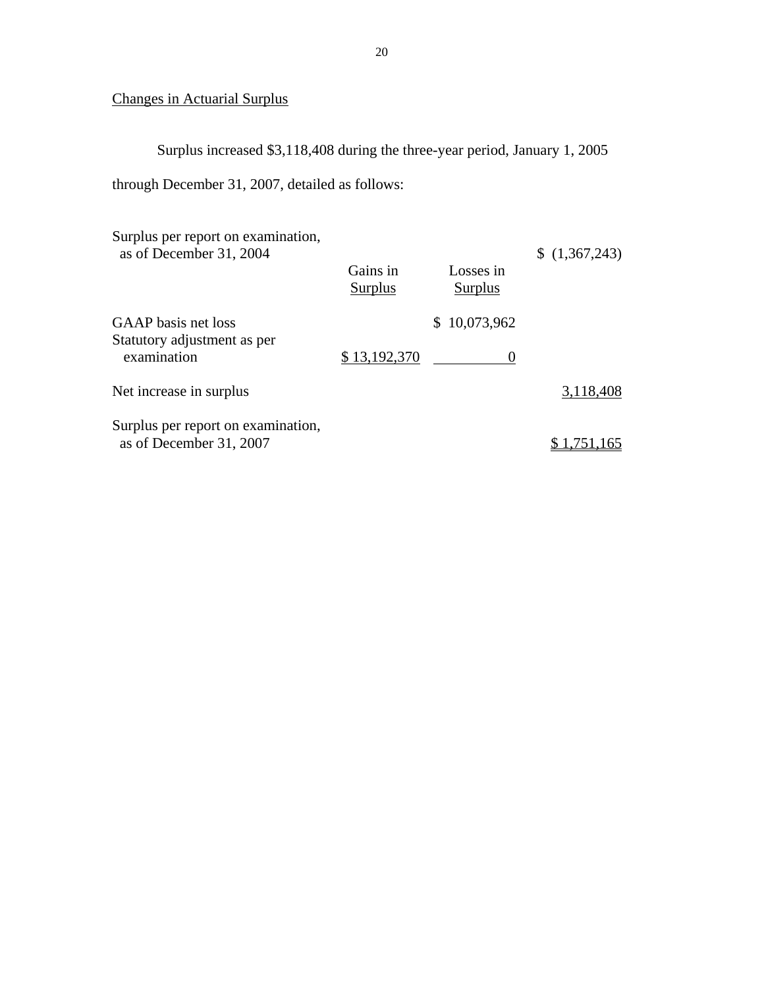### Changes in Actuarial Surplus

Surplus increased \$3,118,408 during the three-year period, January 1, 2005

through December 31, 2007, detailed as follows:

| Surplus per report on examination,<br>as of December 31, 2004     | Gains in<br>Surplus | Losses in<br>Surplus | (1,367,243) |
|-------------------------------------------------------------------|---------------------|----------------------|-------------|
| GAAP basis net loss<br>Statutory adjustment as per<br>examination | \$13,192,370        | \$10,073,962         |             |
| Net increase in surplus                                           |                     |                      | 3,118,408   |
| Surplus per report on examination,<br>as of December 31, 2007     |                     |                      | \$1,751,165 |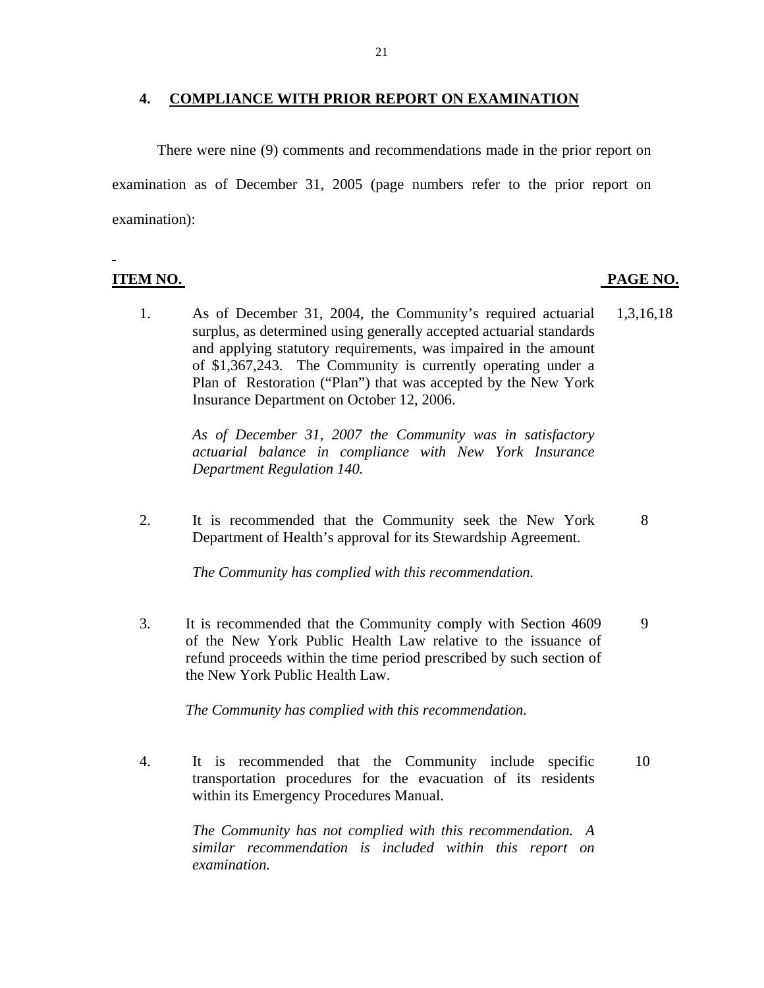#### **4. COMPLIANCE WITH PRIOR REPORT ON EXAMINATION**

There were nine (9) comments and recommendations made in the prior report on examination as of December 31, 2005 (page numbers refer to the prior report on examination):

**ITEM NO. PAGE NO.** 

l

1. As of December 31, 2004, the Community's required actuarial 1,3,16,18 surplus, as determined using generally accepted actuarial standards and applying statutory requirements, was impaired in the amount of \$1,367,243. The Community is currently operating under a Plan of Restoration ("Plan") that was accepted by the New York Insurance Department on October 12, 2006.

*As of December 31, 2007 the Community was in satisfactory actuarial balance in compliance with New York Insurance Department Regulation 140.* 

2. It is recommended that the Community seek the New York 8 Department of Health's approval for its Stewardship Agreement.

*The Community has complied with this recommendation.* 

3. It is recommended that the Community comply with Section 4609 9 of the New York Public Health Law relative to the issuance of refund proceeds within the time period prescribed by such section of the New York Public Health Law.

*The Community has complied with this recommendation.* 

 4. It is recommended that the Community include specific 10 transportation procedures for the evacuation of its residents within its Emergency Procedures Manual.

> *The Community has not complied with this recommendation. A similar recommendation is included within this report on examination.*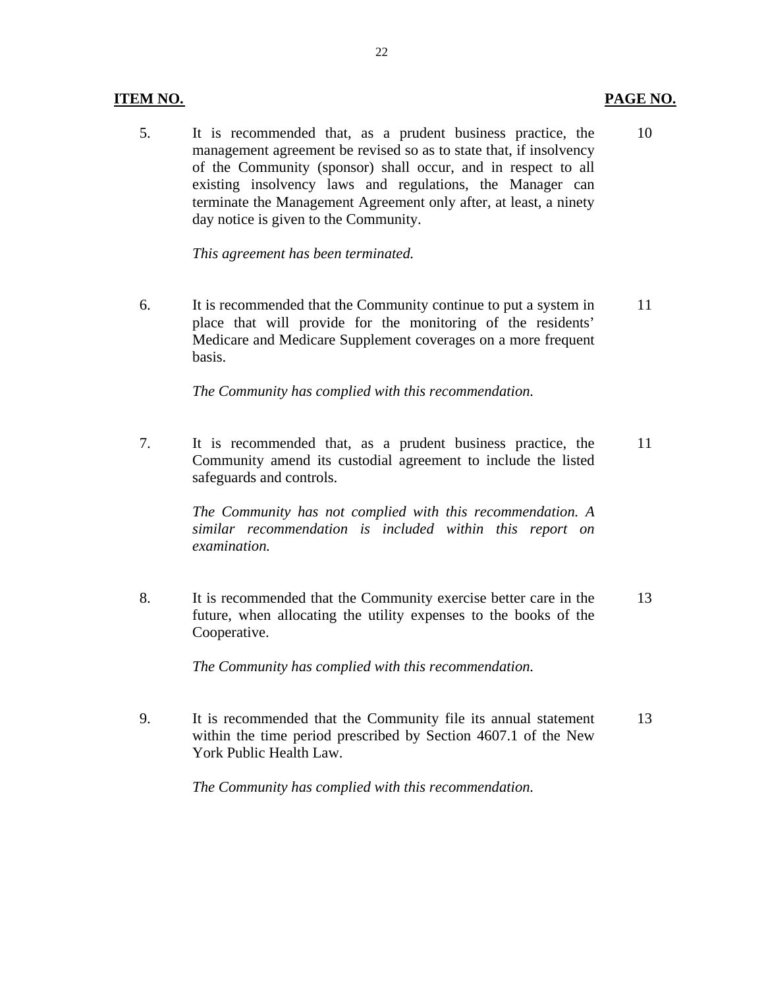#### <span id="page-23-0"></span>**ITEM NO. PAGE NO.**

#### 5. It is recommended that, as a prudent business practice, the 10 management agreement be revised so as to state that, if insolvency of the Community (sponsor) shall occur, and in respect to all existing insolvency laws and regulations, the Manager can terminate the Management Agreement only after, at least, a ninety day notice is given to the Community.

*This agreement has been terminated.* 

6. It is recommended that the Community continue to put a system in 11 place that will provide for the monitoring of the residents' Medicare and Medicare Supplement coverages on a more frequent basis.

*The Community has complied with this recommendation.* 

7. It is recommended that, as a prudent business practice, the 11 Community amend its custodial agreement to include the listed safeguards and controls.

> *The Community has not complied with this recommendation. A similar recommendation is included within this report on examination.*

 8. It is recommended that the Community exercise better care in the 13 future, when allocating the utility expenses to the books of the Cooperative.

*The Community has complied with this recommendation.* 

9. It is recommended that the Community file its annual statement 13 within the time period prescribed by Section 4607.1 of the New York Public Health Law.

*The Community has complied with this recommendation.*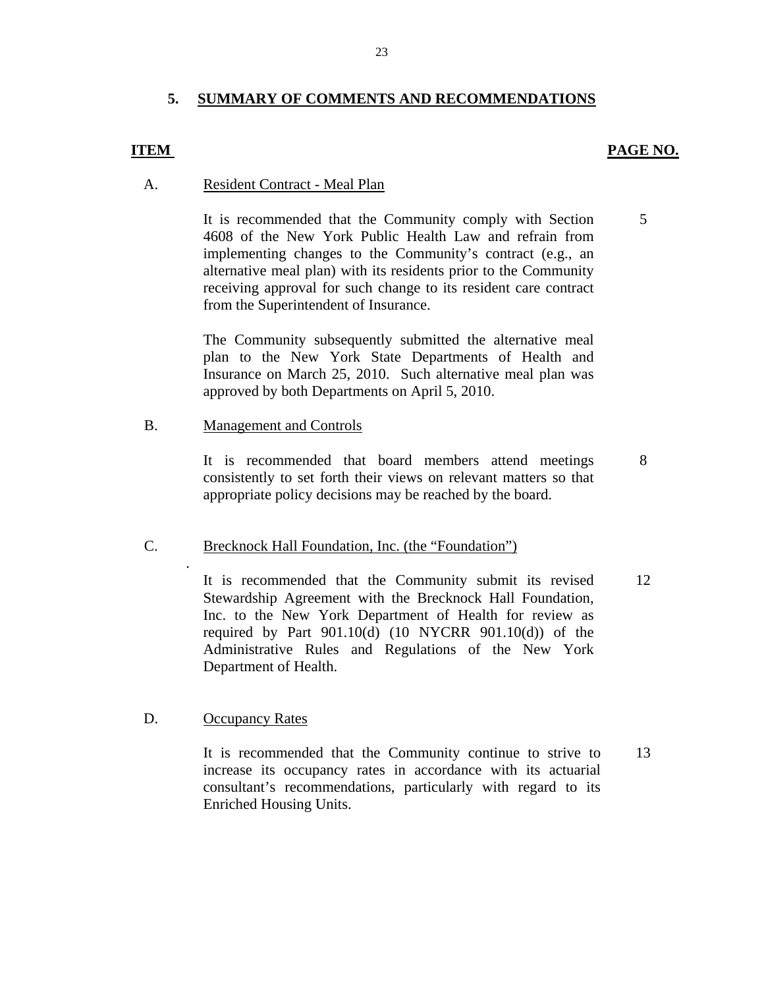#### **5. SUMMARY OF COMMENTS AND RECOMMENDATIONS**

#### **ITEM**

#### **PAGE NO.**

#### A. Resident Contract - Meal Plan

It is recommended that the Community comply with Section 5 4608 of the New York Public Health Law and refrain from implementing changes to the Community's contract (e.g., an alternative meal plan) with its residents prior to the Community receiving approval for such change to its resident care contract from the Superintendent of Insurance.

The Community subsequently submitted the alternative meal plan to the New York State Departments of Health and Insurance on March 25, 2010. Such alternative meal plan was approved by both Departments on April 5, 2010.

#### Management and Controls

B. Management and Controls<br>It is recommended that board members attend meetings 8 consistently to set forth their views on relevant matters so that appropriate policy decisions may be reached by the board.

## C. Brecknock Hall Foundation, Inc. (the "Foundation")

It is recommended that the Community submit its revised 12 Stewardship Agreement with the Brecknock Hall Foundation, Inc. to the New York Department of Health for review as required by Part  $901.10(d)$  (10 NYCRR  $901.10(d)$ ) of the Administrative Rules and Regulations of the New York Department of Health.

#### **Occupancy Rates**

D. <u>Occupancy Rates</u><br>It is recommended that the Community continue to strive to 13 increase its occupancy rates in accordance with its actuarial consultant's recommendations, particularly with regard to its Enriched Housing Units.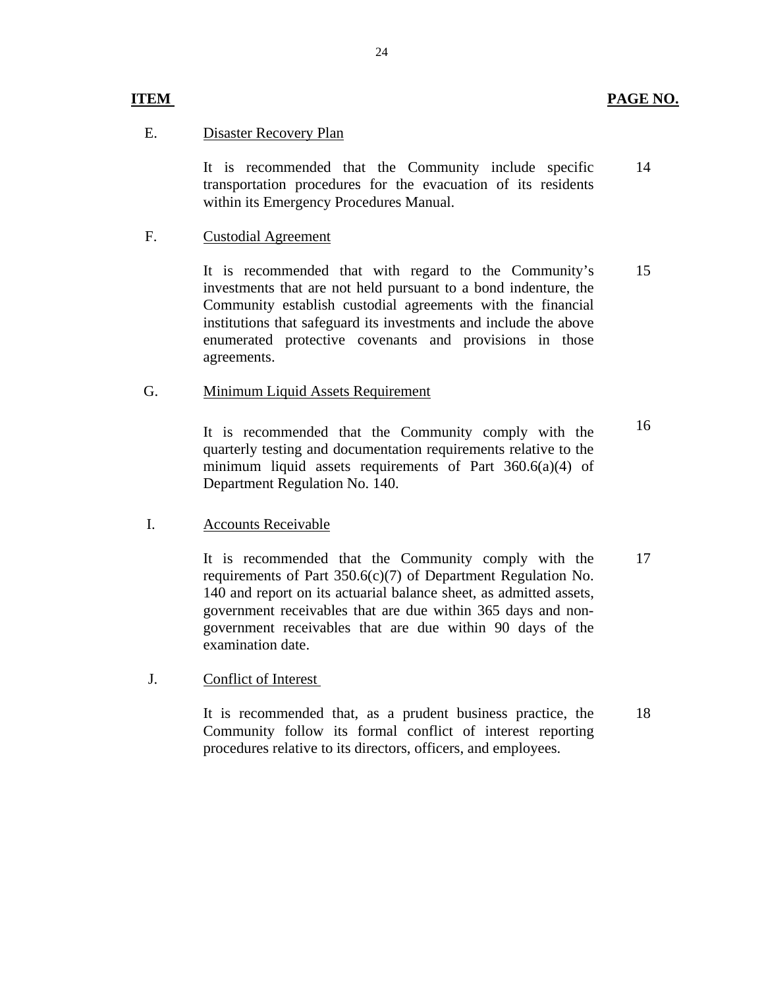#### **ITEM**

#### **Disaster Recovery Plan**

E. Disaster Recovery Plan<br>It is recommended that the Community include specific transportation procedures for the evacuation of its residents within its Emergency Procedures Manual. 14

#### **Custodial Agreement**

F. Custodial Agreement<br>It is recommended that with regard to the Community's investments that are not held pursuant to a bond indenture, the Community establish custodial agreements with the financial institutions that safeguard its investments and include the above enumerated protective covenants and provisions in those agreements. 15

#### Minimum Liquid Assets Requirement

G. Minimum Liquid Assets Requirement<br>It is recommended that the Community comply with the quarterly testing and documentation requirements relative to the minimum liquid assets requirements of Part 360.6(a)(4) of Department Regulation No. 140.

#### **Accounts Receivable**

I. Accounts Receivable<br>It is recommended that the Community comply with the requirements of Part 350.6(c)(7) of Department Regulation No. 140 and report on its actuarial balance sheet, as admitted assets, government receivables that are due within 365 days and nongovernment receivables that are due within 90 days of the examination date. 17

#### J. Conflict of Interest

It is recommended that, as a prudent business practice, the Community follow its formal conflict of interest reporting procedures relative to its directors, officers, and employees. 18

16